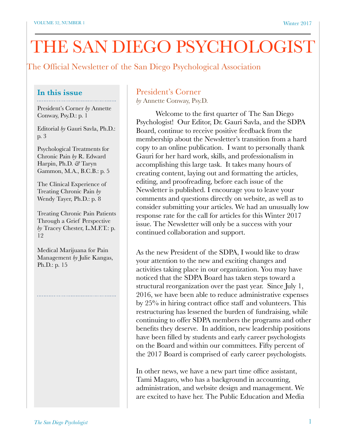# THE SAN DIEGO PSYCHOLOGIST

The Official Newsletter of the San Diego Psychological Association

# **In this issue**

President's Corner *by* Annette Conway, Psy.D.: p. 1

Editorial *by* Gauri Savla, Ph.D.: p. 3

Psychological Treatments for Chronic Pain *by* R. Edward Harpin, Ph.D. *&* Taryn Gammon, M.A., B.C.B.: p. 5

The Clinical Experience of Treating Chronic Pain *by* Wendy Tayer, Ph.D.: p. 8

Treating Chronic Pain Patients Through a Grief Perspective *by* Tracey Chester, L.M.F.T.: p. 12

Medical Marijuana for Pain Management *by* Julie Kangas, Ph.D.: p. 15

# President's Corner

*by* Annette Conway, Psy.D.

Welcome to the first quarter of The San Diego Psychologist! Our Editor, Dr. Gauri Savla, and the SDPA Board, continue to receive positive feedback from the membership about the Newsletter's transition from a hard copy to an online publication. I want to personally thank Gauri for her hard work, skills, and professionalism in accomplishing this large task. It takes many hours of creating content, laying out and formatting the articles, editing, and proofreading, before each issue of the Newsletter is published. I encourage you to leave your comments and questions directly on website, as well as to consider submitting your articles. We had an unusually low response rate for the call for articles for this Winter 2017 issue. The Newsletter will only be a success with your continued collaboration and support.

As the new President of the SDPA, I would like to draw your attention to the new and exciting changes and activities taking place in our organization. You may have noticed that the SDPA Board has taken steps toward a structural reorganization over the past year. Since July 1, 2016, we have been able to reduce administrative expenses by 25% in hiring contract office staff and volunteers. This restructuring has lessened the burden of fundraising, while continuing to offer SDPA members the programs and other benefits they deserve. In addition, new leadership positions have been filled by students and early career psychologists on the Board and within our committees. Fifty percent of the 2017 Board is comprised of early career psychologists.

In other news, we have a new part time office assistant, Tami Magaro, who has a background in accounting, administration, and website design and management. We are excited to have her. The Public Education and Media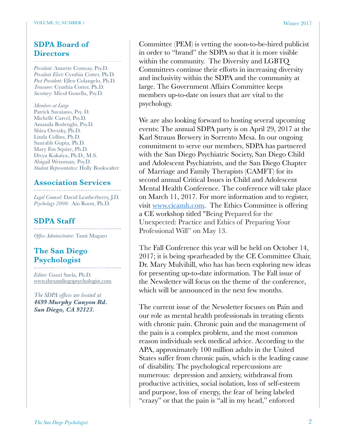### **SDPA Board of Directors**

*President:* Annette Conway, Psy.D. *President Elect:* Cynthia Cotter, Ph.D. *Past President:* Ellen Colangelo, Ph.D. *Treasurer:* Cynthia Cotter, Ph.D. *Secretary:* Micol Gonella, Psy.D.

*Members at Large* Patrick Savaiano, Psy. D. Michelle Carcel, Psy.D. Amanda Borlenghi, Psy.D. Shira Oretzky, Ph.D. Linda Collins, Ph.D. Saurabh Gupta, Ph.D. Mary Fox Squire, Ph.D. Divya Kakaiya, Ph.D., M.S. Abigail Weissman, Psy.D. *Student Representative:* Holly Bookwalter

# **Association Services**

*Legal Counsel:* David Leatherberry, J.D. *Psychology 2000:* Ain Roost, Ph.D.

### **SDPA Staff**

*Office Administrator:* Tami Magaro

# **The San Diego Psychologist**

*Editor:* Gauri Savla, Ph.D. [www.thesandiegopsychologist.com](http://www.thesandiegopsychologist.com)

*The SDPA offices are located at 4699 Murphy Canyon Rd. San Diego, CA 92123.* 

Committee (PEM) is vetting the soon-to-be-hired publicist in order to "brand" the SDPA so that it is more visible within the community. The Diversity and LGBTQ Committees continue their efforts in increasing diversity and inclusivity within the SDPA and the community at large. The Government Affairs Committee keeps members up-to-date on issues that are vital to the psychology.

We are also looking forward to hosting several upcoming events: The annual SDPA party is on April 29, 2017 at the Karl Strauss Brewery in Sorrento Mesa. In our ongoing commitment to serve our members, SDPA has partnered with the San Diego Psychiatric Society, San Diego Child and Adolescent Psychiatrists, and the San Diego Chapter of Marriage and Family Therapists (CAMFT) for its second annual Critical Issues in Child and Adolescent Mental Health Conference. The conference will take place on March 11, 2017. For more information and to register, visit [www.cicamh.com.](http://www.cicamh.com) The Ethics Committee is offering a CE workshop titled "Being Prepared for the Unexpected: Practice and Ethics of Preparing Your Professional Will" on May 13.

The Fall Conference this year will be held on October 14, 2017; it is being spearheaded by the CE Committee Chair, Dr. Mary Mulvihill, who has has been exploring new ideas for presenting up-to-date information. The Fall issue of the Newsletter will focus on the theme of the conference, which will be announced in the next few months.

The current issue of the Newsletter focuses on Pain and our role as mental health professionals in treating clients with chronic pain. Chronic pain and the management of the pain is a complex problem, and the most common reason individuals seek medical advice. According to the APA, approximately 100 million adults in the United States suffer from chronic pain, which is the leading cause of disability. The psychological repercussions are numerous: depression and anxiety, withdrawal from productive activities, social isolation, loss of self-esteem and purpose, loss of energy, the fear of being labeled "crazy" or that the pain is "all in my head," enforced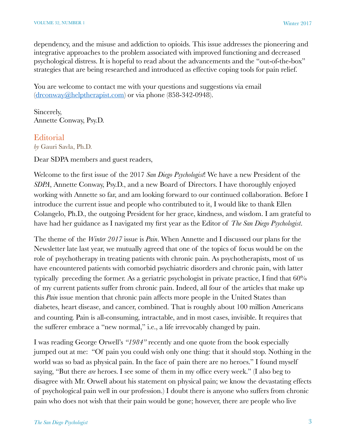dependency, and the misuse and addiction to opioids. This issue addresses the pioneering and integrative approaches to the problem associated with improved functioning and decreased psychological distress. It is hopeful to read about the advancements and the "out-of-the-box" strategies that are being researched and introduced as effective coping tools for pain relief.

You are welcome to contact me with your questions and suggestions via email [\(drconway@helptherapist.com\)](mailto:drconway@helptherapist.com) or via phone (858-342-0948).

Sincerely, Annette Conway, Psy.D.

#### Editorial *by* Gauri Savla, Ph.D.

Dear SDPA members and guest readers,

Welcome to the first issue of the 2017 *San Diego Psychologist*! We have a new President of the *SDPA*, Annette Conway, Psy.D., and a new Board of Directors. I have thoroughly enjoyed working with Annette so far, and am looking forward to our continued collaboration. Before I introduce the current issue and people who contributed to it, I would like to thank Ellen Colangelo, Ph.D., the outgoing President for her grace, kindness, and wisdom. I am grateful to have had her guidance as I navigated my first year as the Editor of *The San Diego Psychologist*.

The theme of the *Winter 2017* issue is *Pain*. When Annette and I discussed our plans for the Newsletter late last year, we mutually agreed that one of the topics of focus would be on the role of psychotherapy in treating patients with chronic pain. As psychotherapists, most of us have encountered patients with comorbid psychiatric disorders and chronic pain, with latter typically preceding the former. As a geriatric psychologist in private practice, I find that 60% of my current patients suffer from chronic pain. Indeed, all four of the articles that make up this *Pain* issue mention that chronic pain affects more people in the United States than diabetes, heart disease, and cancer, combined. That is roughly about 100 million Americans and counting. Pain is all-consuming, intractable, and in most cases, invisible. It requires that the sufferer embrace a "new normal," i.e., a life irrevocably changed by pain.

I was reading George Orwell's *"1984"* recently and one quote from the book especially jumped out at me: "Of pain you could wish only one thing: that it should stop. Nothing in the world was so bad as physical pain. In the face of pain there are no heroes." I found myself saying, "But there *are* heroes. I see some of them in my office every week." (I also beg to disagree with Mr. Orwell about his statement on physical pain; we know the devastating effects of psychological pain well in our profession.) I doubt there is anyone who suffers from chronic pain who does not wish that their pain would be gone; however, there are people who live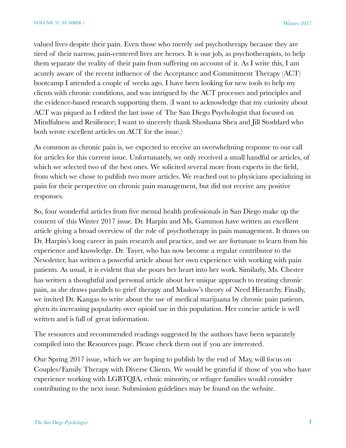valued lives despite their pain. Even those who merely *seek* psychotherapy because they are tired of their narrow, pain-centered lives are heroes. It is our job, as psychotherapists, to help them separate the reality of their pain from suffering on account of it. As I write this, I am acutely aware of the recent influence of the Acceptance and Commitment Therapy (ACT) bootcamp I attended a couple of weeks ago. I have been looking for new tools to help my clients with chronic conditions, and was intrigued by the ACT processes and principles and the evidence-based research supporting them. (I want to acknowledge that my curiosity about ACT was piqued as I edited the last issue of The San Diego Psychologist that focused on Mindfulness and Resilience; I want to sincerely thank Shoshana Shea and Jill Stoddard who both wrote excellent articles on ACT for the issue.)

As common as chronic pain is, we expected to receive an overwhelming response to our call for articles for this current issue. Unfortunately, we only received a small handful or articles, of which we selected two of the best ones. We solicited several more from experts in the field, from which we chose to publish two more articles. We reached out to physicians specializing in pain for their perspective on chronic pain management, but did not receive any positive responses.

So, four wonderful articles from five mental health professionals in San Diego make up the content of this Winter 2017 issue. Dr. Harpin and Ms. Gammon have written an excellent article giving a broad overview of the role of psychotherapy in pain management. It draws on Dr. Harpin's long career in pain research and practice, and we are fortunate to learn from his experience and knowledge. Dr. Tayer, who has now become a regular contributor to the Newsletter, has written a powerful article about her own experience with working with pain patients. As usual, it is evident that she pours her heart into her work. Similarly, Ms. Chester has written a thoughtful and personal article about her unique approach to treating chronic pain, as she draws parallels to grief therapy and Maslow's theory of Need Hierarchy. Finally, we invited Dr. Kangas to write about the use of medical marijuana by chronic pain patients, given its increasing popularity over opioid use in this population. Her concise article is well written and is full of great information.

The resources and recommended readings suggested by the authors have been separately compiled into the Resources page. Please check them out if you are interested.

Our Spring 2017 issue, which we are hoping to publish by the end of May, will focus on Couples/Family Therapy with Diverse Clients. We would be grateful if those of you who have experience working with LGBTQIA, ethnic minority, or refugee families would consider contributing to the next issue. Submission guidelines may be found on the website.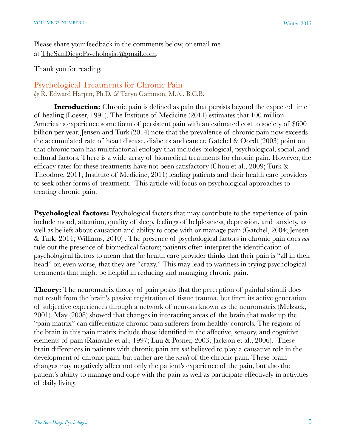Please share your feedback in the comments below, or email me at [TheSanDiegoPsychologist@gmail.com](mailto:TheSanDiegoPsychologist@gmail.com).

Thank you for reading.

Psychological Treatments for Chronic Pain *by* R. Edward Harpin, Ph.D. *&* Taryn Gammon, M.A., B.C.B.

**Introduction:** Chronic pain is defined as pain that persists beyond the expected time of healing (Loeser, 1991). The Institute of Medicine (2011) estimates that 100 million Americans experience some form of persistent pain with an estimated cost to society of \$600 billion per year. Jensen and Turk (2014) note that the prevalence of chronic pain now exceeds the accumulated rate of heart disease, diabetes and cancer. Gatchel & Oordt (2003) point out that chronic pain has multifactorial etiology that includes biological, psychological, social, and cultural factors. There is a wide array of biomedical treatments for chronic pain. However, the efficacy rates for these treatments have not been satisfactory (Chou et al., 2009; Turk & Theodore, 2011; Institute of Medicine, 2011) leading patients and their health care providers to seek other forms of treatment. This article will focus on psychological approaches to treating chronic pain.

**Psychological factors:** Psychological factors that may contribute to the experience of pain include mood, attention, quality of sleep, feelings of helplessness, depression, and anxiety, as well as beliefs about causation and ability to cope with or manage pain (Gatchel, 2004; Jensen & Turk, 2014; Williams, 2010) . The presence of psychological factors in chronic pain does *not* rule out the presence of biomedical factors; patients often interpret the identification of psychological factors to mean that the health care provider thinks that their pain is "all in their head" or, even worse, that they are "crazy." This may lead to wariness in trying psychological treatments that might be helpful in reducing and managing chronic pain.

**Theory:** The neuromatrix theory of pain posits that the perception of painful stimuli does not result from the brain's passive registration of tissue trauma, but from its active generation of subjective experiences through a network of neurons known as the neuromatrix (Melzack, 2001). May (2008) showed that changes in interacting areas of the brain that make up the "pain matrix" can differentiate chronic pain sufferers from healthy controls. The regions of the brain in this pain matrix include those identified in the affective, sensory, and cognitive elements of pain (Rainville et al., 1997; Luu & Posner, 2003; Jackson et al., 2006). These brain differences in patients with chronic pain are *not* believed to play a causative role in the development of chronic pain, but rather are the *result* of the chronic pain. These brain changes may negatively affect not only the patient's experience of the pain, but also the patient's ability to manage and cope with the pain as well as participate effectively in activities of daily living.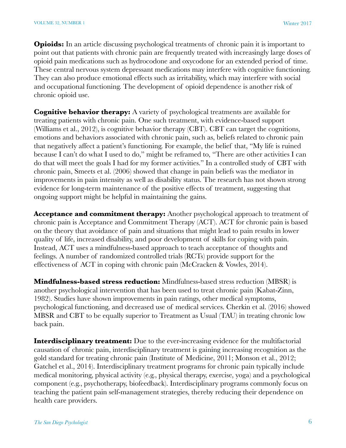**Opioids:** In an article discussing psychological treatments of chronic pain it is important to point out that patients with chronic pain are frequently treated with increasingly large doses of opioid pain medications such as hydrocodone and oxycodone for an extended period of time. These central nervous system depressant medications may interfere with cognitive functioning. They can also produce emotional effects such as irritability, which may interfere with social and occupational functioning. The development of opioid dependence is another risk of chronic opioid use.

**Cognitive behavior therapy:** A variety of psychological treatments are available for treating patients with chronic pain. One such treatment, with evidence-based support (Williams et al., 2012), is cognitive behavior therapy (CBT). CBT can target the cognitions, emotions and behaviors associated with chronic pain, such as, beliefs related to chronic pain that negatively affect a patient's functioning. For example, the belief that, "My life is ruined because I can't do what I used to do," might be reframed to, "There are other activities I can do that will meet the goals I had for my former activities." In a controlled study of CBT with chronic pain, Smeets et al. (2006) showed that change in pain beliefs was the mediator in improvements in pain intensity as well as disability status. The research has not shown strong evidence for long-term maintenance of the positive effects of treatment, suggesting that ongoing support might be helpful in maintaining the gains.

**Acceptance and commitment therapy:** Another psychological approach to treatment of chronic pain is Acceptance and Commitment Therapy (ACT). ACT for chronic pain is based on the theory that avoidance of pain and situations that might lead to pain results in lower quality of life, increased disability, and poor development of skills for coping with pain. Instead, ACT uses a mindfulness-based approach to teach acceptance of thoughts and feelings. A number of randomized controlled trials (RCTs) provide support for the effectiveness of ACT in coping with chronic pain (McCracken & Vowles, 2014).

**Mindfulness-based stress reduction:** Mindfulness-based stress reduction (MBSR) is another psychological intervention that has been used to treat chronic pain (Kabat-Zinn, 1982). Studies have shown improvements in pain ratings, other medical symptoms, psychological functioning, and decreased use of medical services. Cherkin et al. (2016) showed MBSR and CBT to be equally superior to Treatment as Usual (TAU) in treating chronic low back pain.

**Interdisciplinary treatment:** Due to the ever-increasing evidence for the multifactorial causation of chronic pain, interdisciplinary treatment is gaining increasing recognition as the gold standard for treating chronic pain (Institute of Medicine, 2011; Monson et al., 2012; Gatchel et al., 2014). Interdisciplinary treatment programs for chronic pain typically include medical monitoring, physical activity (e.g., physical therapy, exercise, yoga) and a psychological component (e.g., psychotherapy, biofeedback). Interdisciplinary programs commonly focus on teaching the patient pain self-management strategies, thereby reducing their dependence on health care providers.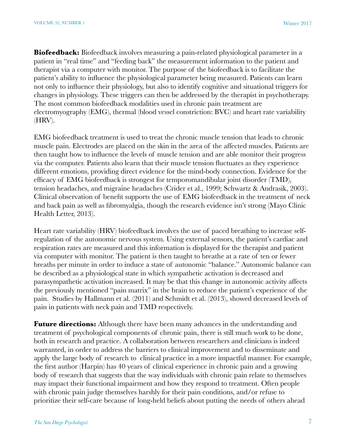**Biofeedback:** Biofeedback involves measuring a pain-related physiological parameter in a patient in "real time" and "feeding back" the measurement information to the patient and therapist via a computer with monitor. The purpose of the biofeedback is to facilitate the patient's ability to influence the physiological parameter being measured. Patients can learn not only to influence their physiology, but also to identify cognitive and situational triggers for changes in physiology. These triggers can then be addressed by the therapist in psychotherapy. The most common biofeedback modalities used in chronic pain treatment are electromyography (EMG), thermal (blood vessel constriction: BVC) and heart rate variability (HRV).

EMG biofeedback treatment is used to treat the chronic muscle tension that leads to chronic muscle pain. Electrodes are placed on the skin in the area of the affected muscles. Patients are then taught how to influence the levels of muscle tension and are able monitor their progress via the computer. Patients also learn that their muscle tension fluctuates as they experience different emotions, providing direct evidence for the mind-body connection. Evidence for the efficacy of EMG biofeedback is strongest for temporomandibular joint disorder (TMD), tension headaches, and migraine headaches (Crider et al., 1999; Schwartz & Andrasik, 2003). Clinical observation of benefit supports the use of EMG biofeedback in the treatment of neck and back pain as well as fibromyalgia, though the research evidence isn't strong (Mayo Clinic Health Letter, 2013).

Heart rate variability (HRV) biofeedback involves the use of paced breathing to increase selfregulation of the autonomic nervous system. Using external sensors, the patient's cardiac and respiration rates are measured and this information is displayed for the therapist and patient via computer with monitor. The patient is then taught to breathe at a rate of ten or fewer breaths per minute in order to induce a state of autonomic "balance." Autonomic balance can be described as a physiological state in which sympathetic activation is decreased and parasympathetic activation increased. It may be that this change in autonomic activity affects the previously mentioned "pain matrix" in the brain to reduce the patient's experience of the pain. Studies by Hallmann et al. (2011) and Schmidt et al. (2013), showed decreased levels of pain in patients with neck pain and TMD respectively.

**Future directions:** Although there have been many advances in the understanding and treatment of psychological components of chronic pain, there is still much work to be done, both in research and practice. A collaboration between researchers and clinicians is indeed warranted, in order to address the barriers to clinical improvement and to disseminate and apply the large body of research to clinical practice in a more impactful manner. For example, the first author (Harpin) has 40 years of clinical experience in chronic pain and a growing body of research that suggests that the way individuals with chronic pain relate to themselves may impact their functional impairment and how they respond to treatment. Often people with chronic pain judge themselves harshly for their pain conditions, and/or refuse to prioritize their self-care because of long-held beliefs about putting the needs of others ahead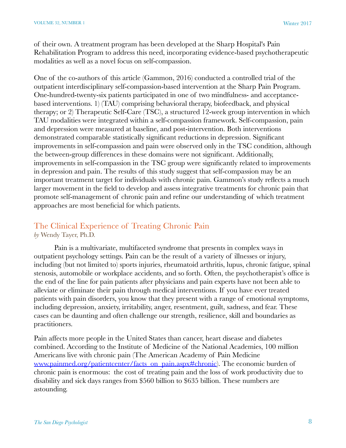of their own. A treatment program has been developed at the Sharp Hospital's Pain Rehabilitation Program to address this need, incorporating evidence-based psychotherapeutic modalities as well as a novel focus on self-compassion.

One of the co-authors of this article (Gammon, 2016) conducted a controlled trial of the outpatient interdisciplinary self-compassion-based intervention at the Sharp Pain Program. One-hundred-twenty-six patients participated in one of two mindfulness- and acceptancebased interventions. 1) (TAU) comprising behavioral therapy, biofeedback, and physical therapy; or 2) Therapeutic Self-Care (TSC), a structured 12-week group intervention in which TAU modalities were integrated within a self-compassion framework. Self-compassion, pain and depression were measured at baseline, and post-intervention. Both interventions demonstrated comparable statistically significant reductions in depression. Significant improvements in self-compassion and pain were observed only in the TSC condition, although the between-group differences in these domains were not significant. Additionally, improvements in self-compassion in the TSC group were significantly related to improvements in depression and pain. The results of this study suggest that self-compassion may be an important treatment target for individuals with chronic pain. Gammon's study reflects a much larger movement in the field to develop and assess integrative treatments for chronic pain that promote self-management of chronic pain and refine our understanding of which treatment approaches are most beneficial for which patients.

#### The Clinical Experience of Treating Chronic Pain *by* Wendy Tayer, Ph.D.

Pain is a multivariate, multifaceted syndrome that presents in complex ways in outpatient psychology settings. Pain can be the result of a variety of illnesses or injury, including (but not limited to) sports injuries, rheumatoid arthritis, lupus, chronic fatigue, spinal stenosis, automobile or workplace accidents, and so forth. Often, the psychotherapist's office is the end of the line for pain patients after physicians and pain experts have not been able to alleviate or eliminate their pain through medical interventions. If you have ever treated patients with pain disorders, you know that they present with a range of emotional symptoms, including depression, anxiety, irritability, anger, resentment, guilt, sadness, and fear. These cases can be daunting and often challenge our strength, resilience, skill and boundaries as practitioners.

Pain affects more people in the United States than cancer, heart disease and diabetes combined. According to the Institute of Medicine of the National Academies, 100 million Americans live with chronic pain (The American Academy of Pain Medicine [www.painmed.org/patientcenter/facts\\_on\\_pain.aspx#chronic\)](http://www.painmed.org/patientcenter/facts_on_pain.aspx#chronic). The economic burden of chronic pain is enormous: the cost of treating pain and the loss of work productivity due to disability and sick days ranges from \$560 billion to \$635 billion. These numbers are astounding.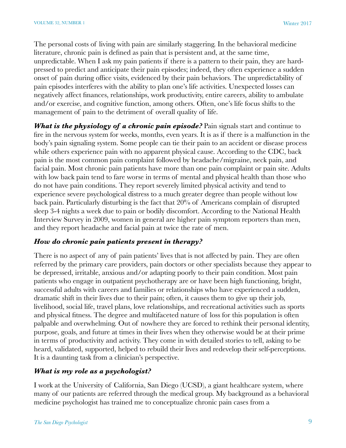The personal costs of living with pain are similarly staggering. In the behavioral medicine literature, chronic pain is defined as pain that is persistent and, at the same time, unpredictable. When I ask my pain patients if there is a pattern to their pain, they are hardpressed to predict and anticipate their pain episodes; indeed, they often experience a sudden onset of pain during office visits, evidenced by their pain behaviors. The unpredictability of pain episodes interferes with the ability to plan one's life activities. Unexpected losses can negatively affect finances, relationships, work productivity, entire careers, ability to ambulate and/or exercise, and cognitive function, among others. Often, one's life focus shifts to the management of pain to the detriment of overall quality of life.

*What is the physiology of a chronic pain episode?* **Pain signals start and continue to** fire in the nervous system for weeks, months, even years. It is as if there is a malfunction in the body's pain signaling system. Some people can tie their pain to an accident or disease process while others experience pain with no apparent physical cause. According to the CDC, back pain is the most common pain complaint followed by headache/migraine, neck pain, and facial pain. Most chronic pain patients have more than one pain complaint or pain site. Adults with low back pain tend to fare worse in terms of mental and physical health than those who do not have pain conditions. They report severely limited physical activity and tend to experience severe psychological distress to a much greater degree than people without low back pain. Particularly disturbing is the fact that 20% of Americans complain of disrupted sleep 3-4 nights a week due to pain or bodily discomfort. According to the National Health Interview Survey in 2009, women in general are higher pain symptom reporters than men, and they report headache and facial pain at twice the rate of men.

#### *How do chronic pain patients present in therapy?*

There is no aspect of any of pain patients' lives that is not affected by pain. They are often referred by the primary care providers, pain doctors or other specialists because they appear to be depressed, irritable, anxious and/or adapting poorly to their pain condition. Most pain patients who engage in outpatient psychotherapy are or have been high functioning, bright, successful adults with careers and families or relationships who have experienced a sudden, dramatic shift in their lives due to their pain; often, it causes them to give up their job, livelihood, social life, travel plans, love relationships, and recreational activities such as sports and physical fitness. The degree and multifaceted nature of loss for this population is often palpable and overwhelming. Out of nowhere they are forced to rethink their personal identity, purpose, goals, and future at times in their lives when they otherwise would be at their prime in terms of productivity and activity. They come in with detailed stories to tell, asking to be heard, validated, supported, helped to rebuild their lives and redevelop their self-perceptions. It is a daunting task from a clinician's perspective.

# *What is my role as a psychologist?*

I work at the University of California, San Diego (UCSD), a giant healthcare system, where many of our patients are referred through the medical group. My background as a behavioral medicine psychologist has trained me to conceptualize chronic pain cases from a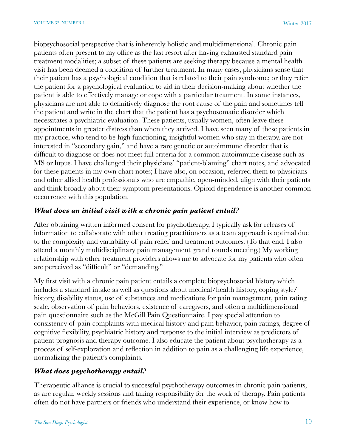biopsychosocial perspective that is inherently holistic and multidimensional. Chronic pain patients often present to my office as the last resort after having exhausted standard pain treatment modalities; a subset of these patients are seeking therapy because a mental health visit has been deemed a condition of further treatment. In many cases, physicians sense that their patient has a psychological condition that is related to their pain syndrome; or they refer the patient for a psychological evaluation to aid in their decision-making about whether the patient is able to effectively manage or cope with a particular treatment. In some instances, physicians are not able to definitively diagnose the root cause of the pain and sometimes tell the patient and write in the chart that the patient has a psychosomatic disorder which necessitates a psychiatric evaluation. These patients, usually women, often leave these appointments in greater distress than when they arrived. I have seen many of these patients in my practice, who tend to be high functioning, insightful women who stay in therapy, are not interested in "secondary gain," and have a rare genetic or autoimmune disorder that is difficult to diagnose or does not meet full criteria for a common autoimmune disease such as MS or lupus. I have challenged their physicians' "patient-blaming" chart notes, and advocated for these patients in my own chart notes; I have also, on occasion, referred them to physicians and other allied health professionals who are empathic, open-minded, align with their patients and think broadly about their symptom presentations. Opioid dependence is another common occurrence with this population.

#### *What does an initial visit with a chronic pain patient entail?*

After obtaining written informed consent for psychotherapy, I typically ask for releases of information to collaborate with other treating practitioners as a team approach is optimal due to the complexity and variability of pain relief and treatment outcomes. (To that end, I also attend a monthly multidisciplinary pain management grand rounds meeting.) My working relationship with other treatment providers allows me to advocate for my patients who often are perceived as "difficult" or "demanding."

My first visit with a chronic pain patient entails a complete biopsychosocial history which includes a standard intake as well as questions about medical/health history, coping style/ history, disability status, use of substances and medications for pain management, pain rating scale, observation of pain behaviors, existence of caregivers, and often a multidimensional pain questionnaire such as the McGill Pain Questionnaire. I pay special attention to consistency of pain complaints with medical history and pain behavior, pain ratings, degree of cognitive flexibility, psychiatric history and response to the initial interview as predictors of patient prognosis and therapy outcome. I also educate the patient about psychotherapy as a process of self-exploration and reflection in addition to pain as a challenging life experience, normalizing the patient's complaints.

# *What does psychotherapy entail?*

Therapeutic alliance is crucial to successful psychotherapy outcomes in chronic pain patients, as are regular, weekly sessions and taking responsibility for the work of therapy. Pain patients often do not have partners or friends who understand their experience, or know how to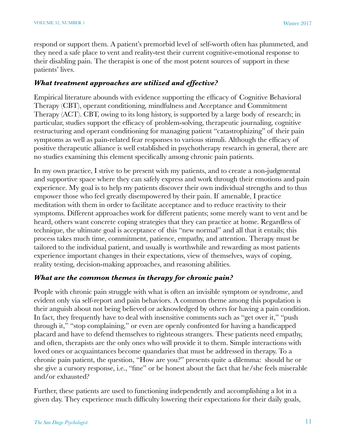respond or support them. A patient's premorbid level of self-worth often has plummeted, and they need a safe place to vent and reality-test their current cognitive-emotional response to their disabling pain. The therapist is one of the most potent sources of support in these patients' lives.

#### *What treatment approaches are utilized and effective?*

Empirical literature abounds with evidence supporting the efficacy of Cognitive Behavioral Therapy (CBT), operant conditioning, mindfulness and Acceptance and Commitment Therapy (ACT). CBT, owing to its long history, is supported by a large body of research; in particular, studies support the efficacy of problem-solving, therapeutic journaling, cognitive restructuring and operant conditioning for managing patient "catastrophizing" of their pain symptoms as well as pain-related fear responses to various stimuli. Although the efficacy of positive therapeutic alliance is well established in psychotherapy research in general, there are no studies examining this element specifically among chronic pain patients.

In my own practice, I strive to be present with my patients, and to create a non-judgmental and supportive space where they can safely express and work through their emotions and pain experience. My goal is to help my patients discover their own individual strengths and to thus empower those who feel greatly disempowered by their pain. If amenable, I practice meditation with them in order to facilitate acceptance and to reduce reactivity to their symptoms. Different approaches work for different patients; some merely want to vent and be heard, others want concrete coping strategies that they can practice at home. Regardless of technique, the ultimate goal is acceptance of this "new normal" and all that it entails; this process takes much time, commitment, patience, empathy, and attention. Therapy must be tailored to the individual patient, and usually is worthwhile and rewarding as most patients experience important changes in their expectations, view of themselves, ways of coping, reality testing, decision-making approaches, and reasoning abilities.

# *What are the common themes in therapy for chronic pain?*

People with chronic pain struggle with what is often an invisible symptom or syndrome, and evident only via self-report and pain behaviors. A common theme among this population is their anguish about not being believed or acknowledged by others for having a pain condition. In fact, they frequently have to deal with insensitive comments such as "get over it," "push" through it," "stop complaining," or even are openly confronted for having a handicapped placard and have to defend themselves to righteous strangers. These patients need empathy, and often, therapists are the only ones who will provide it to them. Simple interactions with loved ones or acquaintances become quandaries that must be addressed in therapy. To a chronic pain patient, the question, "How are you?" presents quite a dilemma: should he or she give a cursory response, i.e., "fine" or be honest about the fact that he/she feels miserable and/or exhausted?

Further, these patients are used to functioning independently and accomplishing a lot in a given day. They experience much difficulty lowering their expectations for their daily goals,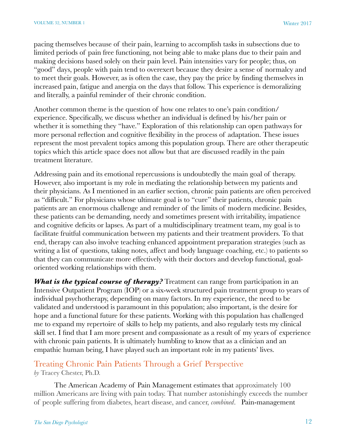pacing themselves because of their pain, learning to accomplish tasks in subsections due to limited periods of pain free functioning, not being able to make plans due to their pain and making decisions based solely on their pain level. Pain intensities vary for people; thus, on "good" days, people with pain tend to overexert because they desire a sense of normalcy and to meet their goals. However, as is often the case, they pay the price by finding themselves in increased pain, fatigue and anergia on the days that follow. This experience is demoralizing and literally, a painful reminder of their chronic condition.

Another common theme is the question of how one relates to one's pain condition/ experience. Specifically, we discuss whether an individual is defined by his/her pain or whether it is something they "have." Exploration of this relationship can open pathways for more personal reflection and cognitive flexibility in the process of adaptation. These issues represent the most prevalent topics among this population group. There are other therapeutic topics which this article space does not allow but that are discussed readily in the pain treatment literature.

Addressing pain and its emotional repercussions is undoubtedly the main goal of therapy. However, also important is my role in mediating the relationship between my patients and their physicians. As I mentioned in an earlier section, chronic pain patients are often perceived as "difficult." For physicians whose ultimate goal is to "cure" their patients, chronic pain patients are an enormous challenge and reminder of the limits of modern medicine. Besides, these patients can be demanding, needy and sometimes present with irritability, impatience and cognitive deficits or lapses. As part of a multidisciplinary treatment team, my goal is to facilitate fruitful communication between my patients and their treatment providers. To that end, therapy can also involve teaching enhanced appointment preparation strategies (such as writing a list of questions, taking notes, affect and body language coaching, etc.) to patients so that they can communicate more effectively with their doctors and develop functional, goaloriented working relationships with them.

*What is the typical course of therapy?* Treatment can range from participation in an Intensive Outpatient Program (IOP) or a six-week structured pain treatment group to years of individual psychotherapy, depending on many factors. In my experience, the need to be validated and understood is paramount in this population; also important, is the desire for hope and a functional future for these patients. Working with this population has challenged me to expand my repertoire of skills to help my patients, and also regularly tests my clinical skill set. I find that I am more present and compassionate as a result of my years of experience with chronic pain patients. It is ultimately humbling to know that as a clinician and an empathic human being, I have played such an important role in my patients' lives.

#### Treating Chronic Pain Patients Through a Grief Perspective *by* Tracey Chester, Ph.D.

The American Academy of Pain Management estimates that approximately 100 million Americans are living with pain today. That number astonishingly exceeds the number of people suffering from diabetes, heart disease, and cancer, *combined*. Pain-management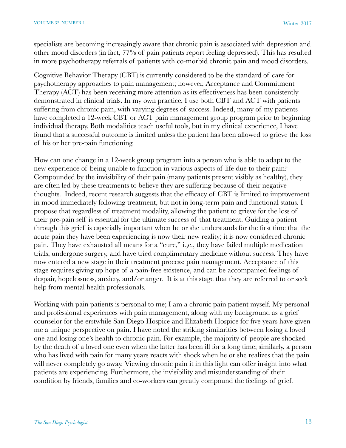specialists are becoming increasingly aware that chronic pain is associated with depression and other mood disorders (in fact, 77% of pain patients report feeling depressed). This has resulted in more psychotherapy referrals of patients with co-morbid chronic pain and mood disorders.

Cognitive Behavior Therapy (CBT) is currently considered to be the standard of care for psychotherapy approaches to pain management; however, Acceptance and Commitment Therapy (ACT) has been receiving more attention as its effectiveness has been consistently demonstrated in clinical trials. In my own practice, I use both CBT and ACT with patients suffering from chronic pain, with varying degrees of success. Indeed, many of my patients have completed a 12-week CBT or ACT pain management group program prior to beginning individual therapy. Both modalities teach useful tools, but in my clinical experience, I have found that a successful outcome is limited unless the patient has been allowed to grieve the loss of his or her pre-pain functioning.

How can one change in a 12-week group program into a person who is able to adapt to the new experience of being unable to function in various aspects of life due to their pain? Compounded by the invisibility of their pain (many patients present visibly as healthy), they are often led by these treatments to believe they are suffering because of their negative thoughts. Indeed, recent research suggests that the efficacy of CBT is limited to improvement in mood immediately following treatment, but not in long-term pain and functional status. I propose that regardless of treatment modality, allowing the patient to grieve for the loss of their pre-pain self is essential for the ultimate success of that treatment. Guiding a patient through this grief is especially important when he or she understands for the first time that the acute pain they have been experiencing is now their new reality; it is now considered chronic pain. They have exhausted all means for a "cure," i.,e., they have failed multiple medication trials, undergone surgery, and have tried complimentary medicine without success. They have now entered a new stage in their treatment process: pain management. Acceptance of this stage requires giving up hope of a pain-free existence, and can be accompanied feelings of despair, hopelessness, anxiety, and/or anger. It is at this stage that they are referred to or seek help from mental health professionals.

Working with pain patients is personal to me; I am a chronic pain patient myself. My personal and professional experiences with pain management, along with my background as a grief counselor for the erstwhile San Diego Hospice and Elizabeth Hospice for five years have given me a unique perspective on pain. I have noted the striking similarities between losing a loved one and losing one's health to chronic pain. For example, the majority of people are shocked by the death of a loved one even when the latter has been ill for a long time; similarly, a person who has lived with pain for many years reacts with shock when he or she realizes that the pain will never completely go away. Viewing chronic pain it in this light can offer insight into what patients are experiencing. Furthermore, the invisibility and misunderstanding of their condition by friends, families and co-workers can greatly compound the feelings of grief.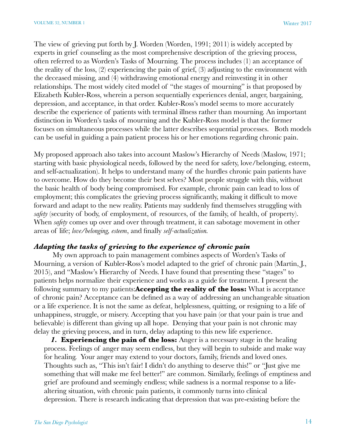The view of grieving put forth by J. Worden (Worden, 1991; 2011) is widely accepted by experts in grief counseling as the most comprehensive description of the grieving process, often referred to as Worden's Tasks of Mourning. The process includes (1) an acceptance of the reality of the loss, (2) experiencing the pain of grief, (3) adjusting to the environment with the deceased missing, and (4) withdrawing emotional energy and reinvesting it in other relationships. The most widely cited model of "the stages of mourning" is that proposed by Elizabeth Kubler-Ross, wherein a person sequentially experiences denial, anger, bargaining, depression, and acceptance, in that order. Kubler-Ross's model seems to more accurately describe the experience of patients with terminal illness rather than mourning. An important distinction in Worden's tasks of mourning and the Kubler-Ross model is that the former focuses on simultaneous processes while the latter describes sequential processes. Both models can be useful in guiding a pain patient process his or her emotions regarding chronic pain.

My proposed approach also takes into account Maslow's Hierarchy of Needs (Maslow, 1971; starting with basic physiological needs, followed by the need for safety, love/belonging, esteem, and self-actualization). It helps to understand many of the hurdles chronic pain patients have to overcome. How do they become their best selves? Most people struggle with this, without the basic health of body being compromised. For example, chronic pain can lead to loss of employment; this complicates the grieving process significantly, making it difficult to move forward and adapt to the new reality. Patients may suddenly find themselves struggling with *safety* (security of body, of employment, of resources, of the family, of health, of property). When *safety* comes up over and over through treatment, it can sabotage movement in other areas of life; *love/belonging, esteem*, and finally *self-actualization.*

#### *Adapting the tasks of grieving to the experience of chronic pain*

 My own approach to pain management combines aspects of Worden's Tasks of Mourning, a version of Kubler-Ross's model adapted to the grief of chronic pain (Martin, J., 2015), and "Maslow's Hierarchy of Needs. I have found that presenting these "stages" to patients helps normalize their experience and works as a guide for treatment. I present the following summary to my patients:**Accepting the reality of the loss:** What is acceptance of chronic pain? Acceptance can be defined as a way of addressing an unchangeable situation or a life experience. It is not the same as defeat, helplessness, quitting, or resigning to a life of unhappiness, struggle, or misery. Accepting that you have pain (or that your pain is true and believable) is different than giving up all hope. Denying that your pain is not chronic may delay the grieving process, and in turn, delay adapting to this new life experience.

*1.* **Experiencing the pain of the loss:** Anger is a necessary stage in the healing process. Feelings of anger may seem endless, but they will begin to subside and make way for healing. Your anger may extend to your doctors, family, friends and loved ones. Thoughts such as, "This isn't fair! I didn't do anything to deserve this!" or "Just give me something that will make me feel better!" are common. Similarly, feelings of emptiness and grief are profound and seemingly endless; while sadness is a normal response to a lifealtering situation, with chronic pain patients, it commonly turns into clinical depression. There is research indicating that depression that was pre-existing before the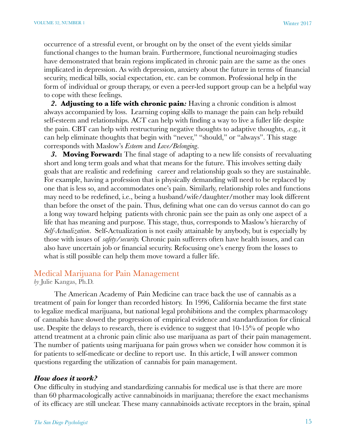occurrence of a stressful event, or brought on by the onset of the event yields similar functional changes to the human brain. Furthermore, functional neuroimaging studies have demonstrated that brain regions implicated in chronic pain are the same as the ones implicated in depression. As with depression, anxiety about the future in terms of financial security, medical bills, social expectation, etc. can be common. Professional help in the form of individual or group therapy, or even a peer-led support group can be a helpful way to cope with these feelings.

*2.* **Adjusting to a life with chronic pain***:* Having a chronic condition is almost always accompanied by loss. Learning coping skills to manage the pain can help rebuild self-esteem and relationships. ACT can help with finding a way to live a fuller life despite the pain. CBT can help with restructuring negative thoughts to adaptive thoughts, .e.g., it can help eliminate thoughts that begin with "never," "should," or "always". This stage corresponds with Maslow's *Esteem* and *Love/Belonging*.

*3.* **Moving Forward:** The final stage of adapting to a new life consists of reevaluating short and long term goals and what that means for the future. This involves setting daily goals that are realistic and redefining career and relationship goals so they are sustainable. For example, having a profession that is physically demanding will need to be replaced by one that is less so, and accommodates one's pain. Similarly, relationship roles and functions may need to be redefined, i.e., being a husband/wife/daughter/mother may look different than before the onset of the pain. Thus, defining what one can do versus cannot do can go a long way toward helping patients with chronic pain see the pain as only one aspect of a life that has meaning and purpose. This stage, thus, corresponds to Maslow's hierarchy of *Self-Actualization*. Self-Actualization is not easily attainable by anybody, but is especially by those with issues of *safety/security.* Chronic pain sufferers often have health issues, and can also have uncertain job or financial security. Refocusing one's energy from the losses to what is still possible can help them move toward a fuller life.

#### Medical Marijuana for Pain Management

*by* Julie Kangas, Ph.D.

The American Academy of Pain Medicine can trace back the use of cannabis as a treatment of pain for longer than recorded history. In 1996, California became the first state to legalize medical marijuana, but national legal prohibitions and the complex pharmacology of cannabis have slowed the progression of empirical evidence and standardization for clinical use. Despite the delays to research, there is evidence to suggest that 10-15% of people who attend treatment at a chronic pain clinic also use marijuana as part of their pain management. The number of patients using marijuana for pain grows when we consider how common it is for patients to self-medicate or decline to report use. In this article, I will answer common questions regarding the utilization of cannabis for pain management.

#### *How does it work?*

One difficulty in studying and standardizing cannabis for medical use is that there are more than 60 pharmacologically active cannabinoids in marijuana; therefore the exact mechanisms of its efficacy are still unclear. These many cannabinoids activate receptors in the brain, spinal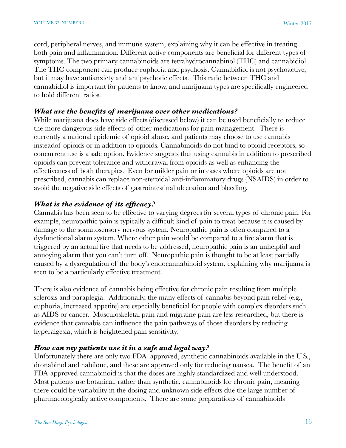cord, peripheral nerves, and immune system, explaining why it can be effective in treating both pain and inflammation. Different active components are beneficial for different types of symptoms. The two primary cannabinoids are tetrahydrocannabinol (THC) and cannabidiol. The THC component can produce euphoria and psychosis. Cannabidiol is not psychoactive, but it may have antianxiety and antipsychotic effects. This ratio between THC and cannabidiol is important for patients to know, and marijuana types are specifically engineered to hold different ratios.

#### *What are the benefits of marijuana over other medications?*

While marijuana does have side effects (discussed below) it can be used beneficially to reduce the more dangerous side effects of other medications for pain management. There is currently a national epidemic of opioid abuse, and patients may choose to use cannabis insteadof opioids or in addition to opioids. Cannabinoids do not bind to opioid receptors, so concurrent use is a safe option. Evidence suggests that using cannabis in addition to prescribed opioids can prevent tolerance and withdrawal from opioids as well as enhancing the effectiveness of both therapies. Even for milder pain or in cases where opioids are not prescribed, cannabis can replace non-steroidal anti-inflammatory drugs (NSAIDS) in order to avoid the negative side effects of gastrointestinal ulceration and bleeding.

#### *What is the evidence of its efficacy?*

Cannabis has been seen to be effective to varying degrees for several types of chronic pain. For example, neuropathic pain is typically a difficult kind of pain to treat because it is caused by damage to the somatosensory nervous system. Neuropathic pain is often compared to a dysfunctional alarm system. Where other pain would be compared to a fire alarm that is triggered by an actual fire that needs to be addressed, neuropathic pain is an unhelpful and annoying alarm that you can't turn off. Neuropathic pain is thought to be at least partially caused by a dysregulation of the body's endocannabinoid system, explaining why marijuana is seen to be a particularly effective treatment.

There is also evidence of cannabis being effective for chronic pain resulting from multiple sclerosis and paraplegia. Additionally, the many effects of cannabis beyond pain relief (e.g., euphoria, increased appetite) are especially beneficial for people with complex disorders such as AIDS or cancer. Musculoskeletal pain and migraine pain are less researched, but there is evidence that cannabis can influence the pain pathways of those disorders by reducing hyperalgesia, which is heightened pain sensitivity.

#### *How can my patients use it in a safe and legal way?*

Unfortunately there are only two FDA–approved, synthetic cannabinoids available in the U.S., dronabinol and nabilone, and these are approved only for reducing nausea. The benefit of an FDA-approved cannabinoid is that the doses are highly standardized and well understood. Most patients use botanical, rather than synthetic, cannabinoids for chronic pain, meaning there could be variability in the dosing and unknown side effects due the large number of pharmacologically active components. There are some preparations of cannabinoids